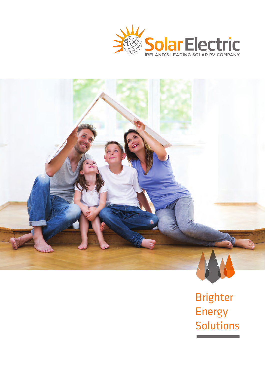



Brighter Energy Solutions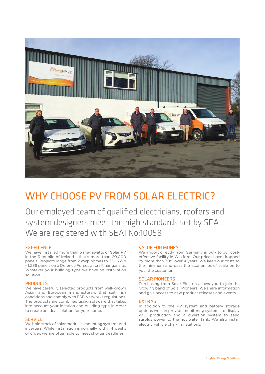

### WHY CHOOSE PV FROM SOLAR ELECTRIC?

Our employed team of qualified electricians, roofers and system designers meet the high standards set by SEAI. We are registered with SEAI No:10058

#### **EXPERIENCE**

We have installed more than 5 megawatts of Solar PV in the Republic of Ireland - that's more than 20,000 panels. Projects range from 2 kWp homes to 350 kWp - 1,238 panels on a Defence Forces aircraft hangar site. Whatever your building type we have an installation solution.

#### PRODUCTS

We have carefully selected products from well-known Asian and European manufacturers that suit Irish conditions and comply with ESB Networks regulations. The products are combined using software that takes into account your location and building type in order to create an ideal solution for your home.

#### **SERVICE**

We hold stock of solar modules, mounting systems and inverters. While installation is normally within 4 weeks of order, we are often able to meet shorter deadlines.

#### VALUE FOR MONEY

We import directly from Germany in bulk to our costeffective facility in Wexford. Our prices have dropped by more than 30% over 4 years. We keep our costs to the minimum and pass the economies of scale on to you, the customer.

#### SOLAR PIONEERS

Purchasing from Solar Electric allows you to join the growing band of Solar Pioneers. We share information and give access to new product releases and events.

#### EXTRAS

In addition to the PV system and battery storage options we can provide monitoring systems to display your production and a diversion system to send surplus power to the hot water tank. We also install electric vehicle charging stations.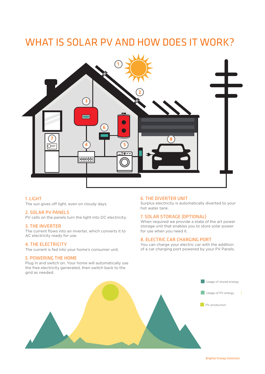### WHAT IS SOLAR PV AND HOW DOES IT WORK?



#### 1. LIGHT

The sun gives off light, even on cloudy days.

#### 2. SOLAR PV PANELS

PV cells on the panels turn the light into DC electricity.

#### 3. THE INVERTER

The current flows into an inverter, which converts it to AC electricity ready for use.

#### 4. THE ELECTRICITY

The current is fed into your home's consumer unit.

#### 5. POWERING THE HOME it. The stored energy from the day then at your disposal in the evening and during the night.

Plug in and switch on. Your home will automatically use the free electricity generated, then switch back to the grid as needed. The energy use solar energy use solar energy is wasted solar energy is wasted.

### 6. THE DIVERTER UNIT

Surplus electricity is automatically diverted to your hot water tank. and water tarm.

#### 7. SOLAR STORAGE (OPTIONAL)

When required we provide a state of the art power storage unit that enables you to store solar power for use when you need it.

### All secondary ready for doc.<br> **All SCRIP CAR CHARGING PORT**

You can charge your electric car with the addition of a car charging port powered by your PV Panels.

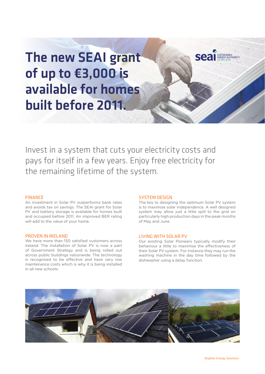# The new SEAI grant of up to €3,000 is available for homes built before 2011.

Invest in a system that cuts your electricity costs and pays for itself in a few years. Enjoy free electricity for the remaining lifetime of the system.

#### FINANCE

An investment in Solar PV outperforms bank rates and avoids tax on savings. The SEAI grant for Solar PV and battery storage is available for homes built and occupied before 2011. An improved BER rating will add to the value of your home.

#### PROVEN IN IRELAND

We have more than 150 satisfied customers across Ireland. The installation of Solar PV is now a part of Government Strategy and is being rolled out across public buildings nationwide. The technology is recognised to be effective and have very low maintenance costs which is why it is being installed in all new schools.

#### SYSTEM DESIGN

The key to designing the optimum Solar PV system is to maximise solar independence. A well designed system may allow just a little spill to the grid on particularly high production days in the peak months of May and June.

**Seal** ENERGY AUTHORITY

#### LIVING WITH SOLAR PV

Our existing Solar Pioneers typically modify their behaviour a little to maximise the effectiveness of their Solar PV system. For instance they may run the washing machine in the day time followed by the dishwasher using a delay function.

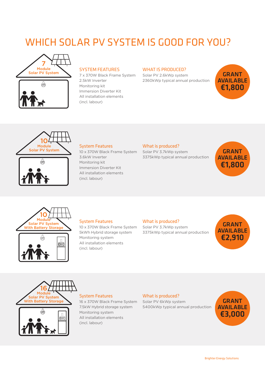### WHICH SOLAR PV SYSTEM IS GOOD FOR YOU?





#### SYSTEM FEATURES

2.5kW Inverter Monitoring kit Immersion Diverter Kit All installation elements (incl. labour)

#### WHAT IS PRODUCED?

Solar PV System **SALANT** 7 x 370W Black Frame System Solar PV 2.6kWp system **GRANT** Solar PV 2.6kWp system 2360kWp typical annual production





#### System Features

10 x 370W Black Frame System 3.6kW Inverter Monitoring kit Immersion Diverter Kit All installation elements (incl. labour)

#### What is produced?

Solar PV 3.7kWp system 3375kWp typical annual production







#### System Features

10 x 370W Black Frame System 5kWh Hybrid storage system Monitoring system All installation elements (incl. labour)

#### What is produced?

Solar PV 3.7kWp system 3375kWp typical annual production





 $0 =$ 



16 x 370W Black Frame System 7.5kW Hybrid storage system Monitoring system All installation elements (incl. labour)

#### What is produced?

Solar PV 6kWp system 5400kWp typical annual production

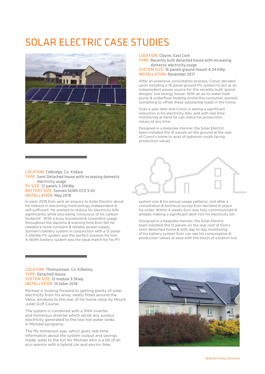### SOLAR ELECTRIC CASE STUDIES



LOCATION: Cloyne, East Cork TYPE: Recently built detached house with increasing

domestic electricity usage SYSTEM SIZE: 16 panels ground mount 4.24 kWp INSTALLATION: November 2017

After an extensive consultation process, Conor decided upon installing a 16 panel ground PV system to act as an independent power source for this recently built 'grand designs' low energy house. With an air to water heat pump & underfloor heating onsite this consumer wanted something to offset these substantial loads in the home.

Over a year later and Conor is seeing a significant reduction in his electricity bills, and with real time monitoring at hand he can check his production values at any time.

Designed in a bespoke manner, the Solar Electric team installed the 16 panels on the ground at the rear of Conor's home to avail of optimum south facing production values.

LOCATION: Celbridge, Co. Kildare TYPE: Semi Detached house with increasing domestic electricity usage PV SIZE: 12 panels 3.24kWp BATTERY SIZE: Sonnen 5kWh ECO 9.43 INSTALLATION: May 2018

In early 2018 Eoin sent an enquiry to Solar Electric about his interest in becoming more energy independent & self-sufficient. He wanted to reduce his electricity bills significantly while also being 'conscious of his carbon footprint'. With a busy household & consistent usage throughout the daytime & evening time Eoin felt he needed a more constant & reliable power supply. Sonnen's battery system in conjunction with a 12 panel 3.24kWp PV system was the perfect solution for him. A 5kWh battery system was the ideal match for his PV



system size & his annual usage patterns, and after a consultation & technical survey Eoin decided to place his order. Within 4 weeks Eoin was fully commissioned & already making a significant dent into his electricity bill.

Designed in a bespoke manner, the Solar Electric team installed the 12 panels on the rear roof of Eoin's semi-detached home & with day to day monitoring of his battery system Eoin can see his consumption & production values at ease with the touch of a button too.

#### LOCATION: Thomastown, Co. Kilkenny TYPE: Detached House SYSTEM SIZE: 12 module 3.5Kwp INSTALLATION: October 2018

Michael is looking forward to getting plenty of solar electricity from his array, neatly fitted around the Velux windows to the rear of his home close by Mount Juliet Golf Course.

The system is combined with a SMA inverter and Immersun diverter which sends any surplus electricity generated to the two hot water tanks in Michael'sproperty.

The My Immersun app. which gives real-time information about the system output and savings made, adds to the fun for Michael who is a bit of an eco-warrior with a hybrid car and electric bike.

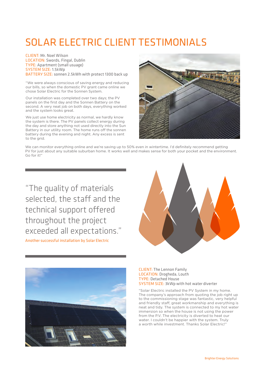## SOLAR ELECTRIC CLIENT TESTIMONIALS

CLIENT: Mr. Noel Wilson LOCATION: Swords, Fingal, Dublin TYPE: Apartment (small usuage) SYSTEM SIZE: 1.5kWp BATTERY SIZE: sonnen 2.5kWh with protect 1300 back up

"We were always conscious of saving energy and reducing our bills, so when the domestic PV grant came online we chose Solar Electric for the Sonnen System.

Our installation was completed over two days; the PV panels on the first day and the Sonnen Battery on the second. A very neat job on both days, everything worked and the system looks great.

We just use home electricity as normal, we hardly know the system is there. The PV panels collect energy during the day and store anything not used directly into the Sun Battery in our utility room. The home runs off the sonnen battery during the evening and night. Any excess is sent to the grid.



We can monitor everything online and we're saving up to 50% even in wintertime. I'd definitely recommend getting PV for just about any suitable suburban home. It works well and makes sense for both your pocket and the environment. Go for it!"

"The quality of materials selected, the staff and the technical support offered throughout the project exceeded all expectations."

Another successful installation by Solar Electric





CLIENT: The Lennon Family LOCATION: Drogheda, Louth TYPE: Detached House SYSTEM SIZE: 3kWp with hot water diverter

"Solar Electric installed the PV System in my home. The company's approach from quoting the job right up to the commissioning stage was fantastic, very helpful and friendly staff, great workmanship and everything is neat and tidy. The system is connected to my hot water immersion so when the house is not using the power from the P.V. The electricity is diverted to heat our water. I couldn't be happier with the system. Truly a worth while investment. Thanks Solar Flectric!"